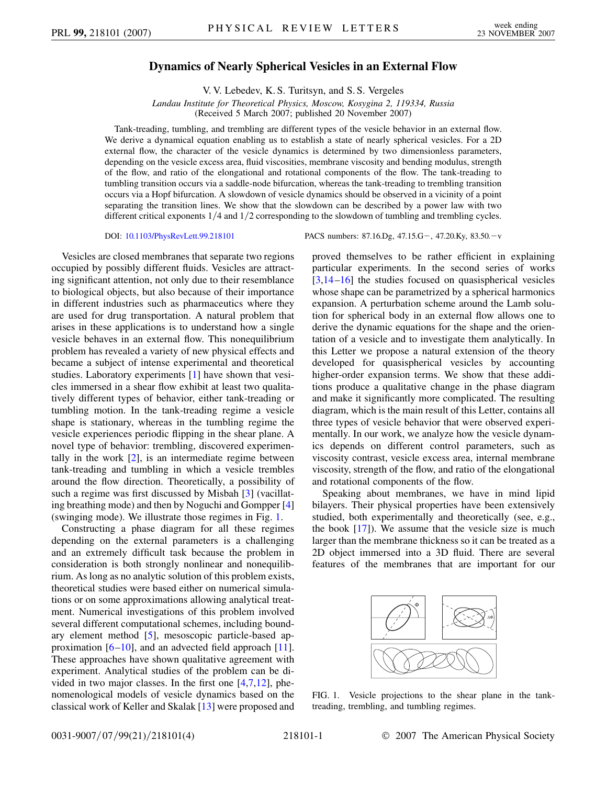## **Dynamics of Nearly Spherical Vesicles in an External Flow**

V. V. Lebedev, K. S. Turitsyn, and S. S. Vergeles

*Landau Institute for Theoretical Physics, Moscow, Kosygina 2, 119334, Russia*

(Received 5 March 2007; published 20 November 2007)

Tank-treading, tumbling, and trembling are different types of the vesicle behavior in an external flow. We derive a dynamical equation enabling us to establish a state of nearly spherical vesicles. For a 2D external flow, the character of the vesicle dynamics is determined by two dimensionless parameters, depending on the vesicle excess area, fluid viscosities, membrane viscosity and bending modulus, strength of the flow, and ratio of the elongational and rotational components of the flow. The tank-treading to tumbling transition occurs via a saddle-node bifurcation, whereas the tank-treading to trembling transition occurs via a Hopf bifurcation. A slowdown of vesicle dynamics should be observed in a vicinity of a point separating the transition lines. We show that the slowdown can be described by a power law with two different critical exponents  $1/4$  and  $1/2$  corresponding to the slowdown of tumbling and trembling cycles.

Vesicles are closed membranes that separate two regions occupied by possibly different fluids. Vesicles are attracting significant attention, not only due to their resemblance to biological objects, but also because of their importance in different industries such as pharmaceutics where they are used for drug transportation. A natural problem that arises in these applications is to understand how a single vesicle behaves in an external flow. This nonequilibrium problem has revealed a variety of new physical effects and became a subject of intense experimental and theoretical studies. Laboratory experiments [[1](#page-3-0)] have shown that vesicles immersed in a shear flow exhibit at least two qualitatively different types of behavior, either tank-treading or tumbling motion. In the tank-treading regime a vesicle shape is stationary, whereas in the tumbling regime the vesicle experiences periodic flipping in the shear plane. A novel type of behavior: trembling, discovered experimentally in the work  $[2]$ , is an intermediate regime between tank-treading and tumbling in which a vesicle trembles around the flow direction. Theoretically, a possibility of such a regime was first discussed by Misbah [\[3\]](#page-3-2) (vacillating breathing mode) and then by Noguchi and Gompper [\[4\]](#page-3-3) (swinging mode). We illustrate those regimes in Fig. [1](#page-0-0).

Constructing a phase diagram for all these regimes depending on the external parameters is a challenging and an extremely difficult task because the problem in consideration is both strongly nonlinear and nonequilibrium. As long as no analytic solution of this problem exists, theoretical studies were based either on numerical simulations or on some approximations allowing analytical treatment. Numerical investigations of this problem involved several different computational schemes, including boundary element method [\[5](#page-3-4)], mesoscopic particle-based approximation  $[6–10]$  $[6–10]$  $[6–10]$ , and an advected field approach  $[11]$ . These approaches have shown qualitative agreement with experiment. Analytical studies of the problem can be divided in two major classes. In the first one [[4,](#page-3-3)[7](#page-3-8)[,12\]](#page-3-9), phenomenological models of vesicle dynamics based on the classical work of Keller and Skalak [\[13\]](#page-3-10) were proposed and

DOI: [10.1103/PhysRevLett.99.218101](http://dx.doi.org/10.1103/PhysRevLett.99.218101) PACS numbers: 87.16.Dg, 47.15.G-, 47.20.Ky, 83.50.-v

proved themselves to be rather efficient in explaining particular experiments. In the second series of works  $[3,14-16]$  $[3,14-16]$  $[3,14-16]$  the studies focused on quasispherical vesicles whose shape can be parametrized by a spherical harmonics expansion. A perturbation scheme around the Lamb solution for spherical body in an external flow allows one to derive the dynamic equations for the shape and the orientation of a vesicle and to investigate them analytically. In this Letter we propose a natural extension of the theory developed for quasispherical vesicles by accounting higher-order expansion terms. We show that these additions produce a qualitative change in the phase diagram and make it significantly more complicated. The resulting diagram, which is the main result of this Letter, contains all three types of vesicle behavior that were observed experimentally. In our work, we analyze how the vesicle dynamics depends on different control parameters, such as viscosity contrast, vesicle excess area, internal membrane viscosity, strength of the flow, and ratio of the elongational and rotational components of the flow.

Speaking about membranes, we have in mind lipid bilayers. Their physical properties have been extensively studied, both experimentally and theoretically (see, e.g., the book  $[17]$  $[17]$ ). We assume that the vesicle size is much larger than the membrane thickness so it can be treated as a 2D object immersed into a 3D fluid. There are several features of the membranes that are important for our

<span id="page-0-0"></span>

FIG. 1. Vesicle projections to the shear plane in the tanktreading, trembling, and tumbling regimes.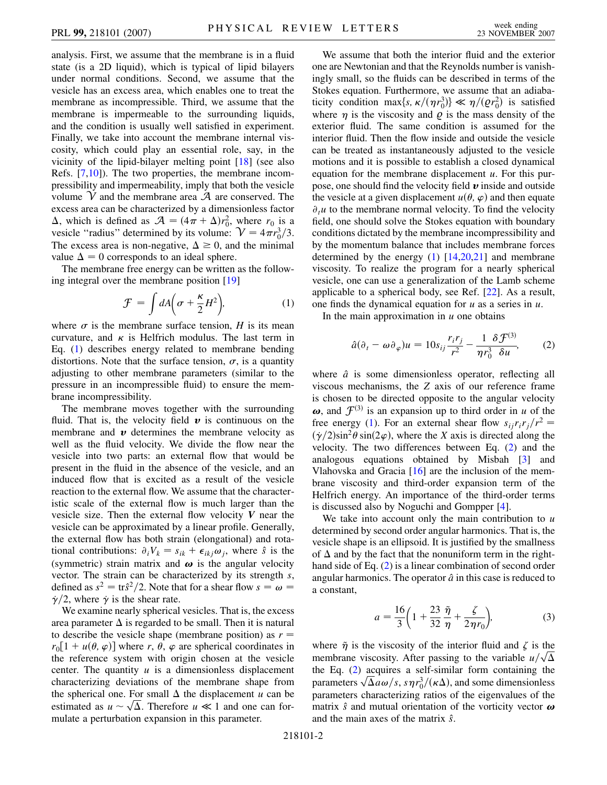analysis. First, we assume that the membrane is in a fluid state (is a 2D liquid), which is typical of lipid bilayers under normal conditions. Second, we assume that the vesicle has an excess area, which enables one to treat the membrane as incompressible. Third, we assume that the membrane is impermeable to the surrounding liquids, and the condition is usually well satisfied in experiment. Finally, we take into account the membrane internal viscosity, which could play an essential role, say, in the vicinity of the lipid-bilayer melting point [[18](#page-3-14)] (see also Refs. [\[7,](#page-3-8)[10\]](#page-3-6)). The two properties, the membrane incompressibility and impermeability, imply that both the vesicle volume  $\mathcal V$  and the membrane area  $\mathcal A$  are conserved. The excess area can be characterized by a dimensionless factor  $\Delta$ , which is defined as  $\mathcal{A} = (4\pi + \Delta)r_0^2$ , where  $r_0$  is a vesicle "radius" determined by its volume:  $V = 4\pi r_0^3/3$ . The excess area is non-negative,  $\Delta \ge 0$ , and the minimal value  $\Delta = 0$  corresponds to an ideal sphere.

<span id="page-1-0"></span>The membrane free energy can be written as the following integral over the membrane position [\[19\]](#page-3-15)

$$
\mathcal{F} = \int dA \bigg( \sigma + \frac{\kappa}{2} H^2 \bigg), \tag{1}
$$

where  $\sigma$  is the membrane surface tension, *H* is its mean curvature, and  $\kappa$  is Helfrich modulus. The last term in Eq. ([1](#page-1-0)) describes energy related to membrane bending distortions. Note that the surface tension,  $\sigma$ , is a quantity adjusting to other membrane parameters (similar to the pressure in an incompressible fluid) to ensure the membrane incompressibility.

The membrane moves together with the surrounding fluid. That is, the velocity field  $\boldsymbol{v}$  is continuous on the membrane and  $\boldsymbol{v}$  determines the membrane velocity as well as the fluid velocity. We divide the flow near the vesicle into two parts: an external flow that would be present in the fluid in the absence of the vesicle, and an induced flow that is excited as a result of the vesicle reaction to the external flow. We assume that the characteristic scale of the external flow is much larger than the vesicle size. Then the external flow velocity *V* near the vesicle can be approximated by a linear profile. Generally, the external flow has both strain (elongational) and rotational contributions:  $\partial_i V_k = s_{ik} + \epsilon_{ikj} \omega_j$ , where  $\hat{s}$  is the (symmetric) strain matrix and  $\omega$  is the angular velocity vector. The strain can be characterized by its strength *s*, defined as  $s^2 = \text{tr} \hat{s}^2/2$ . Note that for a shear flow  $s = \omega =$  $\dot{\gamma}/2$ , where  $\dot{\gamma}$  is the shear rate.

We examine nearly spherical vesicles. That is, the excess area parameter  $\Delta$  is regarded to be small. Then it is natural to describe the vesicle shape (membrane position) as  $r =$  $r_0[1 + u(\theta, \varphi)]$  where *r*,  $\theta$ ,  $\varphi$  are spherical coordinates in the reference system with origin chosen at the vesicle center. The quantity  $u$  is a dimensionless displacement characterizing deviations of the membrane shape from the spherical one. For small  $\Delta$  the displacement *u* can be the spherical one. For small  $\Delta$  the displacement *u* can be estimated as  $u \sim \sqrt{\Delta}$ . Therefore  $u \ll 1$  and one can formulate a perturbation expansion in this parameter.

We assume that both the interior fluid and the exterior one are Newtonian and that the Reynolds number is vanishingly small, so the fluids can be described in terms of the Stokes equation. Furthermore, we assume that an adiabaticity condition max $\{s, \kappa/(\eta r_0^3)\} \ll \eta/(\rho r_0^2)$  is satisfied where  $\eta$  is the viscosity and  $\rho$  is the mass density of the exterior fluid. The same condition is assumed for the interior fluid. Then the flow inside and outside the vesicle can be treated as instantaneously adjusted to the vesicle motions and it is possible to establish a closed dynamical equation for the membrane displacement *u*. For this purpose, one should find the velocity field *v* inside and outside the vesicle at a given displacement  $u(\theta, \varphi)$  and then equate  $\partial_t u$  to the membrane normal velocity. To find the velocity field, one should solve the Stokes equation with boundary conditions dictated by the membrane incompressibility and by the momentum balance that includes membrane forces determined by the energy  $(1)$  $(1)$   $[14,20,21]$  $[14,20,21]$  $[14,20,21]$  $[14,20,21]$  $[14,20,21]$  $[14,20,21]$  $[14,20,21]$  and membrane viscosity. To realize the program for a nearly spherical vesicle, one can use a generalization of the Lamb scheme applicable to a spherical body, see Ref. [[22](#page-3-18)]. As a result, one finds the dynamical equation for *u* as a series in *u*.

<span id="page-1-1"></span>In the main approximation in *u* one obtains

$$
\hat{a}(\partial_t - \omega \partial_\varphi)u = 10s_{ij}\frac{r_ir_j}{r^2} - \frac{1}{\eta r_0^3} \frac{\delta \mathcal{F}^{(3)}}{\delta u},\tag{2}
$$

where  $\hat{a}$  is some dimensionless operator, reflecting all viscous mechanisms, the *Z* axis of our reference frame is chosen to be directed opposite to the angular velocity  $\boldsymbol{\omega}$ , and  $\mathcal{F}^{(3)}$  is an expansion up to third order in *u* of the free energy [\(1](#page-1-0)). For an external shear flow  $s_{ij}r_ir_j/r^2 =$  $(\gamma/2)\sin^2\theta \sin(2\varphi)$ , where the *X* axis is directed along the velocity. The two differences between Eq. ([2](#page-1-1)) and the analogous equations obtained by Misbah [[3\]](#page-3-2) and Vlahovska and Gracia [\[16\]](#page-3-12) are the inclusion of the membrane viscosity and third-order expansion term of the Helfrich energy. An importance of the third-order terms is discussed also by Noguchi and Gompper [[4\]](#page-3-3).

We take into account only the main contribution to *u* determined by second order angular harmonics. That is, the vesicle shape is an ellipsoid. It is justified by the smallness of  $\Delta$  and by the fact that the nonuniform term in the righthand side of Eq. ([2\)](#page-1-1) is a linear combination of second order angular harmonics. The operator  $\hat{a}$  in this case is reduced to a constant,

$$
a = \frac{16}{3} \left( 1 + \frac{23}{32} \frac{\tilde{\eta}}{\eta} + \frac{\zeta}{2 \eta r_0} \right),
$$
 (3)

where  $\tilde{\eta}$  is the viscosity of the interior fluid and  $\zeta$  is the membrane viscosity. After passing to the variable  $u/\sqrt{\Delta}$ the Eq. ([2](#page-1-1)) acquires a self-similar form containing the the Eq. (2) acquires a self-similar form containing the parameters  $\sqrt{\Delta}a\omega/s$ ,  $s\eta r_0^3/(\kappa\Delta)$ , and some dimensionless parameters characterizing ratios of the eigenvalues of the matrix  $\hat{s}$  and mutual orientation of the vorticity vector  $\boldsymbol{\omega}$ and the main axes of the matrix *s*^.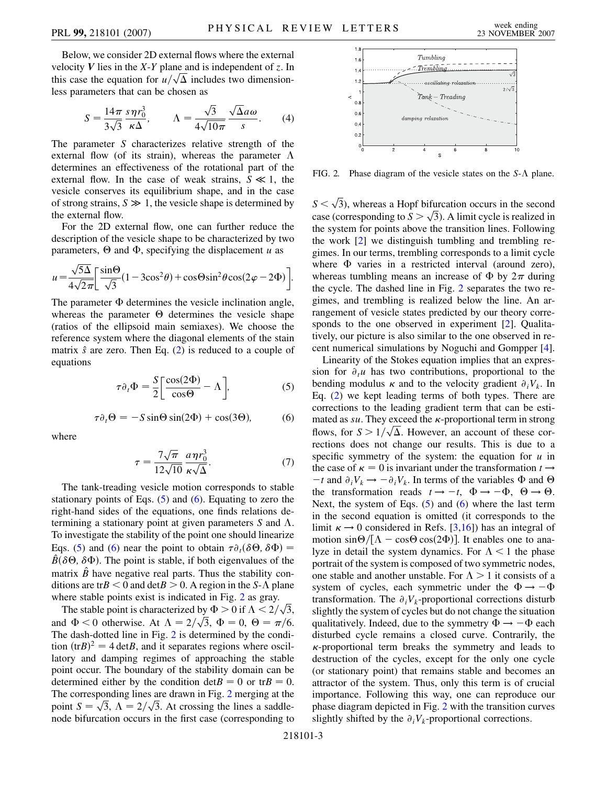Below, we consider 2D external flows where the external velocity *V* lies in the *X*-*Y* plane and is independent of *z*. In velocity  $V$  lies in the  $X$ - $Y$  plane and is independent of  $z$ . In this case the equation for  $u/\sqrt{\Delta}$  includes two dimensionless parameters that can be chosen as

<span id="page-2-3"></span>
$$
S = \frac{14\pi}{3\sqrt{3}} \frac{s\eta r_0^3}{\kappa \Delta}, \qquad \Lambda = \frac{\sqrt{3}}{4\sqrt{10\pi}} \frac{\sqrt{\Delta}a\omega}{s}.
$$
 (4)

The parameter *S* characterizes relative strength of the external flow (of its strain), whereas the parameter  $\Lambda$ determines an effectiveness of the rotational part of the external flow. In the case of weak strains,  $S \ll 1$ , the vesicle conserves its equilibrium shape, and in the case of strong strains,  $S \gg 1$ , the vesicle shape is determined by the external flow.

For the 2D external flow, one can further reduce the description of the vesicle shape to be characterized by two parameters,  $\Theta$  and  $\Phi$ , specifying the displacement *u* as

$$
u = \frac{\sqrt{5\Delta}}{4\sqrt{2\pi}} \left[ \frac{\sin\Theta}{\sqrt{3}} (1 - 3\cos^2\theta) + \cos\Theta \sin^2\theta \cos(2\varphi - 2\Phi) \right].
$$

The parameter  $\Phi$  determines the vesicle inclination angle, whereas the parameter  $\Theta$  determines the vesicle shape (ratios of the ellipsoid main semiaxes). We choose the reference system where the diagonal elements of the stain matrix  $\hat{s}$  are zero. Then Eq. ([2\)](#page-1-1) is reduced to a couple of equations

<span id="page-2-1"></span>
$$
\tau \partial_t \Phi = \frac{S}{2} \left[ \frac{\cos(2\Phi)}{\cos \Theta} - \Lambda \right],\tag{5}
$$

$$
\tau \partial_t \Theta = -S \sin \Theta \sin(2\Phi) + \cos(3\Theta), \tag{6}
$$

<span id="page-2-0"></span>where

$$
\tau = \frac{7\sqrt{\pi}}{12\sqrt{10}} \frac{a\eta r_0^3}{\kappa\sqrt{\Delta}}.\tag{7}
$$

The tank-treading vesicle motion corresponds to stable stationary points of Eqs.  $(5)$  $(5)$  and  $(6)$  $(6)$  $(6)$ . Equating to zero the right-hand sides of the equations, one finds relations determining a stationary point at given parameters  $S$  and  $\Lambda$ . To investigate the stability of the point one should linearize Eqs. [\(5\)](#page-2-0) and [\(6](#page-2-1)) near the point to obtain  $\tau \partial_t (\delta \Theta, \delta \Phi) =$  $\hat{B}(\delta\Theta, \delta\Phi)$ . The point is stable, if both eigenvalues of the matrix  $\hat{B}$  have negative real parts. Thus the stability conditions are tr $B < 0$  and  $\det B > 0$ . A region in the *S*- $\Lambda$  plane where stable points exist is indicated in Fig. [2](#page-2-2) as gray.

The stable points exist is indicated in Fig. 2 as gray.<br>The stable point is characterized by  $\Phi > 0$  if  $\Lambda < 2/\sqrt{3}$ , The stable point is characterized by  $\Phi > 0$  if  $\Lambda < 2/\sqrt{3}$ ,<br>and  $\Phi < 0$  otherwise. At  $\Lambda = 2/\sqrt{3}$ ,  $\Phi = 0$ ,  $\Theta = \pi/6$ . The dash-dotted line in Fig. [2](#page-2-2) is determined by the condition  $(trB)^2 = 4 detB$ , and it separates regions where oscillatory and damping regimes of approaching the stable point occur. The boundary of the stability domain can be determined either by the condition  $det B = 0$  or  $tr B = 0$ . The corresponding lines are drawn in Fig. [2](#page-2-2) merging at the The corresponding lines are drawn in Fig. 2 merging at the point  $S = \sqrt{3}$ ,  $\Lambda = 2/\sqrt{3}$ . At crossing the lines a saddlenode bifurcation occurs in the first case (corresponding to

<span id="page-2-2"></span>

FIG. 2. Phase diagram of the vesicle states on the  $S-\Lambda$  plane.

 $S < \sqrt{3}$ ), whereas a Hopf bifurcation occurs in the second  $s \leq \sqrt{3}$ , whereas a Hopp bifurcation occurs in the second<br>case (corresponding to  $S > \sqrt{3}$ ). A limit cycle is realized in the system for points above the transition lines. Following the work [\[2\]](#page-3-1) we distinguish tumbling and trembling regimes. In our terms, trembling corresponds to a limit cycle where  $\Phi$  varies in a restricted interval (around zero), whereas tumbling means an increase of  $\Phi$  by  $2\pi$  during the cycle. The dashed line in Fig. [2](#page-2-2) separates the two regimes, and trembling is realized below the line. An arrangement of vesicle states predicted by our theory corre-sponds to the one observed in experiment [[2\]](#page-3-1). Qualitatively, our picture is also similar to the one observed in recent numerical simulations by Noguchi and Gompper [[4\]](#page-3-3).

Linearity of the Stokes equation implies that an expression for  $\partial_t u$  has two contributions, proportional to the bending modulus  $\kappa$  and to the velocity gradient  $\partial_i V_k$ . In Eq. [\(2](#page-1-1)) we kept leading terms of both types. There are corrections to the leading gradient term that can be estimated as  $su$ . They exceed the  $\kappa$ -proportional term in strong mated as *su*. They exceed the *k*-proportional term in strong<br>flows, for  $S > 1/\sqrt{\Delta}$ . However, an account of these corrections does not change our results. This is due to a specific symmetry of the system: the equation for *u* in the case of  $\kappa = 0$  is invariant under the transformation  $t \rightarrow$  $-t$  and  $\partial_i V_k \rightarrow -\partial_i V_k$ . In terms of the variables  $\Phi$  and  $\Theta$ the transformation reads  $t \to -t$ ,  $\Phi \to -\Phi$ ,  $\Theta \to \Theta$ . Next, the system of Eqs.  $(5)$  $(5)$  and  $(6)$  $(6)$  $(6)$  where the last term in the second equation is omitted (it corresponds to the limit  $\kappa \rightarrow 0$  considered in Refs. [\[3](#page-3-2)[,16](#page-3-12)]) has an integral of motion  $\sin\Theta/[\Lambda - \cos\Theta \cos(2\Phi)]$ . It enables one to analyze in detail the system dynamics. For  $\Lambda < 1$  the phase portrait of the system is composed of two symmetric nodes, one stable and another unstable. For  $\Lambda > 1$  it consists of a system of cycles, each symmetric under the  $\Phi \rightarrow -\Phi$ transformation. The  $\partial_i V_k$ -proportional corrections disturb slightly the system of cycles but do not change the situation qualitatively. Indeed, due to the symmetry  $\Phi \rightarrow -\Phi$  each disturbed cycle remains a closed curve. Contrarily, the  $\kappa$ -proportional term breaks the symmetry and leads to destruction of the cycles, except for the only one cycle (or stationary point) that remains stable and becomes an attractor of the system. Thus, only this term is of crucial importance. Following this way, one can reproduce our phase diagram depicted in Fig. [2](#page-2-2) with the transition curves slightly shifted by the  $\partial_i V_k$ -proportional corrections.